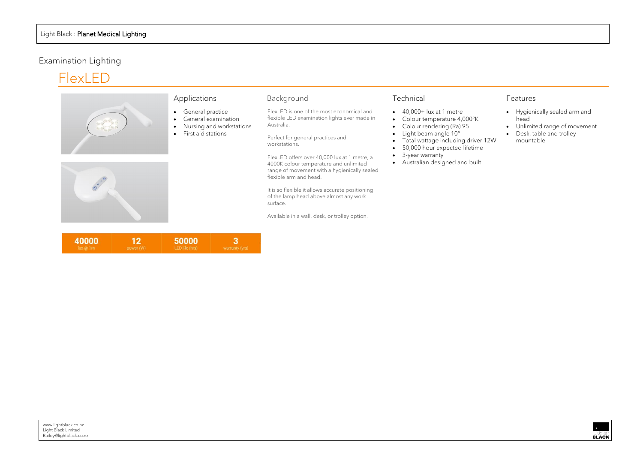# Examination Lighting





# Applications

- General practice
- General examination
- Nursing and workstations
- First aid stations

| 40000 | 12        | 50000          |                |
|-------|-----------|----------------|----------------|
| ux@1m | power (W) | LED life (hrs) | warranty (yrs) |

### Background

FlexLED is one of the most economical and flexible LED examination lights ever made in Australia.

It is so flexible it allows accurate positioning of the lamp head above almost any work surface.

Perfect for general practices and workstations.

- $\bullet$  40,000+ lux at 1 metre
- Colour temperature 4,000°K
- Colour rendering (Ra) 95
- Light beam angle 10º
- Total wattage including driver 12W
- 50,000 hour expected lifetime
- 3-year warranty
- Australian designed and built
- Hygienically sealed arm and head
- Unlimited range of movement
- Desk, table and trolley

FlexLED offers over 40,000 lux at 1 metre, a 4000K colour temperature and unlimited range of movement with a hygienically sealed flexible arm and head.

Available in a wall, desk, or trolley option.

### Technical

#### Features

mountable

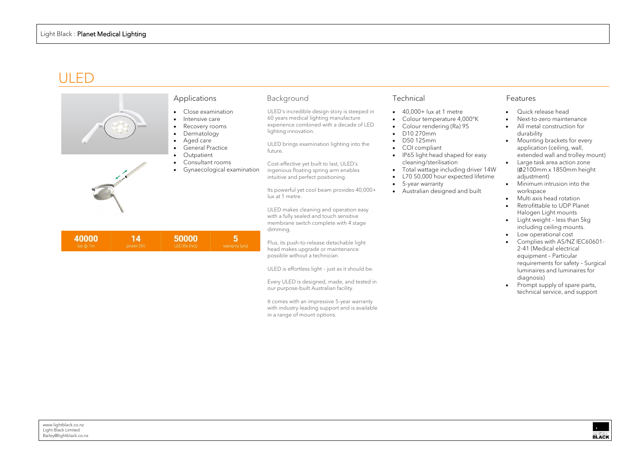# ULED

It comes with an impressive 5-year warranty with industry-leading support and is available

|                                      | Applications                                                                                                                                                                 | Background                                                                                                                                                                                                                                                                                                                                                                                                     | Technical                                                                                                                                                                                                                                                                                                                                                                   |
|--------------------------------------|------------------------------------------------------------------------------------------------------------------------------------------------------------------------------|----------------------------------------------------------------------------------------------------------------------------------------------------------------------------------------------------------------------------------------------------------------------------------------------------------------------------------------------------------------------------------------------------------------|-----------------------------------------------------------------------------------------------------------------------------------------------------------------------------------------------------------------------------------------------------------------------------------------------------------------------------------------------------------------------------|
|                                      | Close examination<br>Intensive care<br>Recovery rooms<br>Dermatology<br>Aged care<br><b>General Practice</b><br>Outpatient<br>Consultant rooms<br>Gynaecological examination | ULED's incredible design story is steeped in<br>60 years medical lighting manufacture<br>experience combined with a decade of LED<br>lighting innovation.<br>ULED brings examination lighting into the<br>future.<br>Cost-effective yet built to last, ULED's<br>ingenious floating spring arm enables<br>intuitive and perfect positioning.<br>Its powerful yet cool beam provides 40,000+<br>lux at 1 metre. | 40,000+ lux at 1 metre<br>$\bullet$<br>Colour temperature 4,000°K<br>Colour rendering (Ra) 95<br>D10 270mm<br>$\bullet$<br>D50 125mm<br>COI compliant<br>$\bullet$<br>IP65 light head shaped for easy<br>cleaning/sterilisation<br>Total wattage including driver 14W<br>L70 50,000 hour expected lifetime<br>5-year warranty<br>Australian designed and built<br>$\bullet$ |
|                                      |                                                                                                                                                                              | ULED makes cleaning and operation easy<br>with a fully sealed and touch sensitive<br>membrane switch complete with 4 stage<br>dimming.                                                                                                                                                                                                                                                                         |                                                                                                                                                                                                                                                                                                                                                                             |
| 40000<br>14<br>lux @ 1m<br>power (W) | 5<br>50000<br>LED life (hrs)<br>warranty (yrs)                                                                                                                               | Plus, its push-to-release detachable light<br>head makes upgrade or maintenance<br>possible without a technician.                                                                                                                                                                                                                                                                                              |                                                                                                                                                                                                                                                                                                                                                                             |

ULED is effortless light – just as it should be.

Every ULED is designed, made, and tested in

our purpose-built Australian facility.

in a range of mount options.

- Quick release head
- Next-to-zero maintenance
- All metal construction for durability
- Mounting brackets for every application (ceiling, wall, extended wall and trolley mount)
- Large task area action zone (∅2100mm x 1850mm height adjustment)
- Minimum intrusion into the workspace
- Multi axis head rotation
- Retrofittable to UDP Planet Halogen Light mounts
- Light weight less than 5kg including ceiling mounts.
- Low operational cost
- Complies with AS/NZ IEC60601- 2-41 (Medical electrical equipment – Particular requirements for safety – Surgical luminaires and luminaires for diagnosis)
- Prompt supply of spare parts, technical service, and support

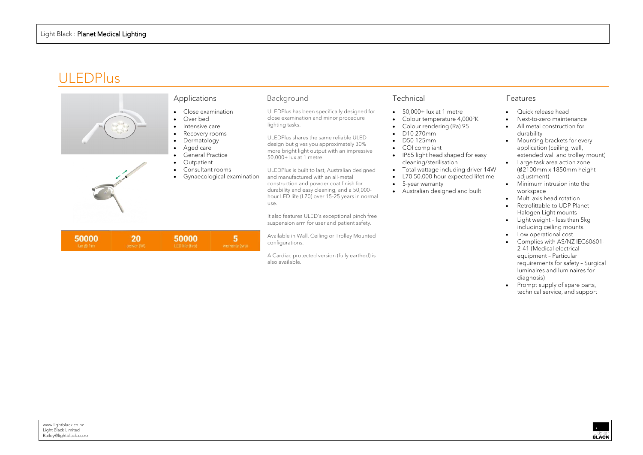# ULEDPlus



A Cardiac protected version (fully earthed) is

also available.

- Quick release head
- Next-to-zero maintenance
- All metal construction for durability
- Mounting brackets for every application (ceiling, wall, extended wall and trolley mount)
- Large task area action zone (∅2100mm x 1850mm height adjustment)
- Minimum intrusion into the workspace
- Multi axis head rotation
- Retrofittable to UDP Planet Halogen Light mounts
- Light weight less than 5kg including ceiling mounts.
- Low operational cost
- Complies with AS/NZ IEC60601- 2-41 (Medical electrical equipment – Particular requirements for safety – Surgical luminaires and luminaires for diagnosis)
- Prompt supply of spare parts, technical service, and support

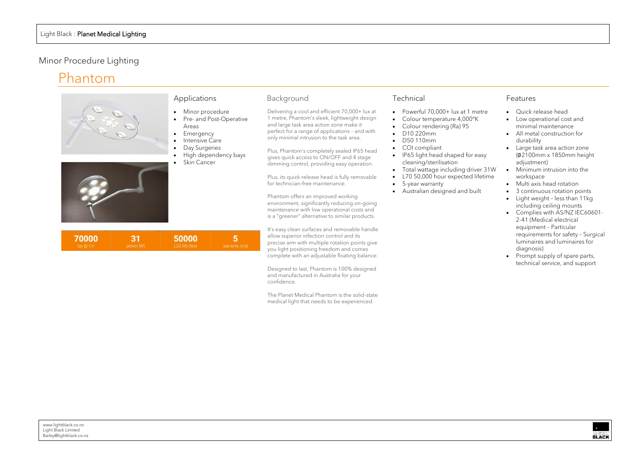- Minor procedure
- Pre- and Post-Operative Areas
- Emergency
- Intensive Care
- **Day Surgeries**
- High dependency bays
- Skin Cancer

# Minor Procedure Lighting

# Phantom



#### Applications

### Background

Delivering a cool and efficient 70,000+ lux at 1 metre, Phantom's sleek, lightweight design and large task area action zone make it perfect for a range of applications – and with only minimal intrusion to the task area.

Plus, Phantom's completely sealed IP65 head gives quick access to ON/OFF and 4 stage dimming control, providing easy operation.

Plus, its quick-release head is fully removable for technician-free maintenance.

Phantom offers an improved working environment, significantly reducing on-going maintenance with low operational costs and is a "greener" alternative to similar products.

|               | Quick release head                 |
|---------------|------------------------------------|
|               | Low operational cost and           |
|               | minimal maintenance                |
|               | All metal construction for         |
|               | durability                         |
|               | Large task area action zone        |
|               | $(Ø2100mm \times 1850mm$ height    |
|               | adjustment)                        |
| N             | Minimum intrusion into the         |
| $\Rightarrow$ | workspace                          |
|               | Multi axis head rotation           |
|               | 3 continuous rotation points       |
|               | Light weight - less than 11kg      |
|               | including ceiling mounts           |
|               | Complies with AS/NZ IEC60601-      |
|               | 2-41 (Medical electrical           |
|               | equipment - Particular             |
|               | requirements for safety - Surgical |

It's easy clean surfaces and removable handle allow superior infection control and its precise arm with multiple rotation points give you light positioning freedom and comes complete with an adjustable floating balance.

Designed to last, Phantom is 100% designed and manufactured in Australia for your confidence.

The Planet Medical Phantom is the solid-state medical light that needs to be experienced.

## Technical

- Powerful 70,000+ lux at 1 metre
- Colour temperature 4,000°K
- Colour rendering (Ra) 95
- D10 220mm
- D50 110mm
- COI compliant
- IP65 light head shaped for easy cleaning/sterilisation
- Total wattage including driver 31W
- L70 50,000 hour expected lifetime
- 5-year warranty
- Australian designed and built



| 70000  | 31        | 50000          |                |
|--------|-----------|----------------|----------------|
| lux@1m | power (W) | LED life (hrs) | warranty (yrs) |

| Features |
|----------|
|----------|

luminaires and luminaires for diagnosis) • Prompt supply of spare parts, technical service, and support

**BLACK**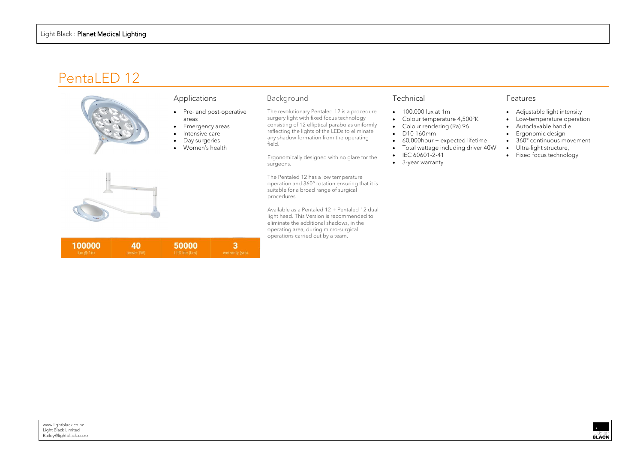# PentaLED 12



# Applications

- Pre- and post-operative
- areas
- Emergency areas
- Intensive care
- Day surgeries
- Women's health

| 100000 | 40        | 50000          |                |
|--------|-----------|----------------|----------------|
| ux@1m  | power (W) | LED life (hrs) | warranty (yrs) |

#### Background

The revolutionary Pentaled 12 is a procedure surgery light with fixed focus technology consisting of 12 elliptical parabolas uniformly reflecting the lights of the LEDs to eliminate any shadow formation from the operating field.

Available as a Pentaled 12 + Pentaled 12 dual light head. This Version is recommended to eliminate the additional shadows, in the operating area, during micro-surgical operations carried out by a team.

Ergonomically designed with no glare for the surgeons.

The Pentaled 12 has a low temperature operation and 360° rotation ensuring that it is suitable for a broad range of surgical procedures.

### Technical

- 100,000 lux at 1m
- Colour temperature 4,500°K
- Colour rendering (Ra) 96
- D10 160mm
- 60,000hour + expected lifetime
- Total wattage including driver 40W
- IEC 60601-2-41
- 3-year warranty

- Adjustable light intensity
- Low-temperature operation
- Autoclavable handle
- Ergonomic design
- 360° continuous movement
- Ultra-light structure,
- Fixed focus technology

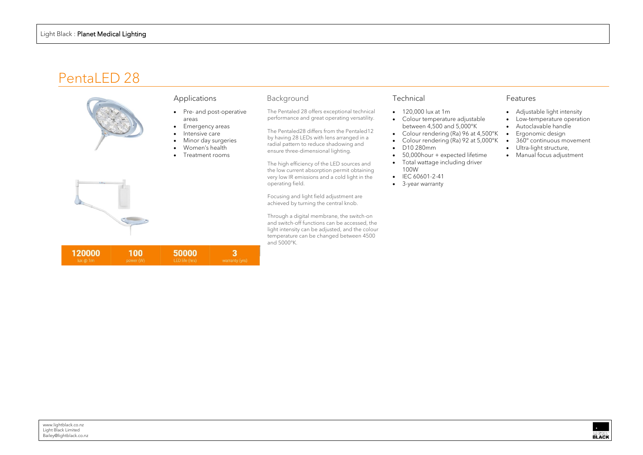# PentaLED 28



# Applications

- Pre- and post-operative areas
- Emergency areas
- Intensive care
- Minor day surgeries
- Women's health
- Treatment rooms



Background

#### The Pentaled 28 offers exceptional technical performance and great operating versatility.

The Pentaled28 differs from the Pentaled12 by having 28 LEDs with lens arranged in a radial pattern to reduce shadowing and

ensure three-dimensional lighting.

The high efficiency of the LED sources and the low current absorption permit obtaining very low IR emissions and a cold light in the operating field.

Focusing and light field adjustment are achieved by turning the central knob.

Through a digital membrane, the switch-on and switch-off functions can be accessed, the light intensity can be adjusted, and the colour temperature can be changed between 4500 and 5000°K.

### Technical

- 120,000 lux at 1m
- Colour temperature adjustable between 4,500 and 5,000°K
- Colour rendering (Ra) 96 at 4,500°K
- Colour rendering (Ra) 92 at 5,000°K
- D10 280mm
- 50,000hour + expected lifetime
- Total wattage including driver 100W
- IEC 60601-2-41
- 3-year warranty

| power<br><b><i><u>Property and the second second</u></i></b> | FD life (hrs)<br>--- | <b>THE WAY AND</b> |
|--------------------------------------------------------------|----------------------|--------------------|

- Adjustable light intensity
- Low-temperature operation
- Autoclavable handle • Ergonomic design
- 
- 
- 360° continuous movement
- Ultra-light structure,
- Manual focus adjustment

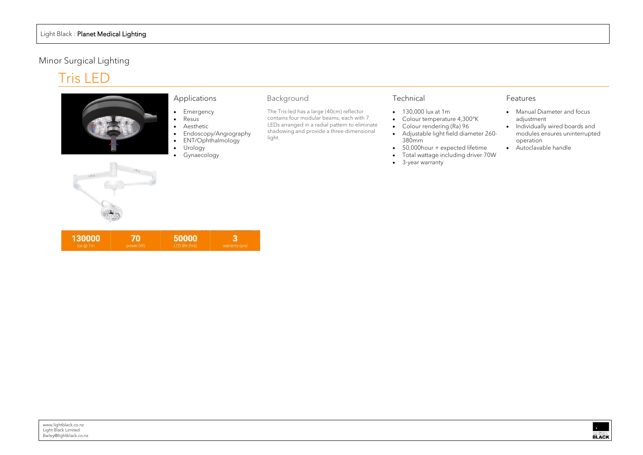# Minor Surgical Lighting

# Tris LED



#### Applications

- Emergency
- Resus
- Aesthetic
- Endoscopy/Angiography
- ENT/Ophthalmology
- Urology
- Gynaecology
- 130,000 lux at 1m
- Colour temperature 4,300°K
- Colour rendering (Ra) 96
- Adjustable light field diameter 260- 380mm
- 50,000hour + expected lifetime
- Total wattage including driver 70W
- 3-year warranty



| 130000 | 70        | 50000          |                |
|--------|-----------|----------------|----------------|
| lux@1m | power (W) | LED life (hrs) | warranty (yrs) |

# Background

The Tris-led has a large (40cm) reflector contains four modular beams, each with 7 LEDs arranged in a radial pattern to eliminate shadowing and provide a three-dimensional light.

### Technical

- Manual Diameter and focus adjustment
- Individually wired boards and modules ensures uninterrupted operation
- Autoclavable handle
- 

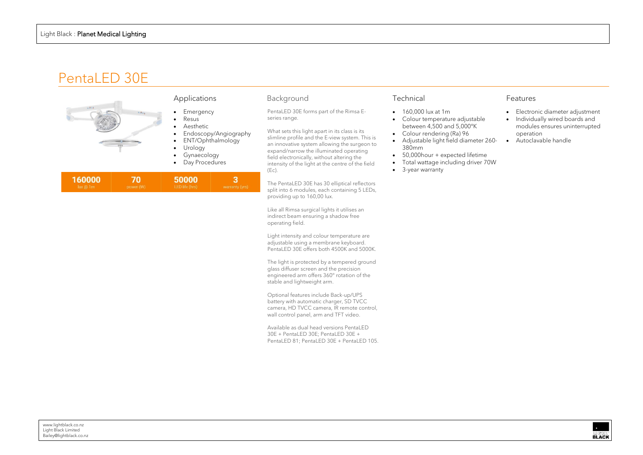# PentaLED 30E



#### Applications

- Emergency
- Resus
- Aesthetic
- Endoscopy/Angiography
- ENT/Ophthalmology
- Urology
- Gynaecology
- Day Procedures

| 160000 | 70        | 50000          |                |
|--------|-----------|----------------|----------------|
| lux@1m | power (W) | LED life (hrs) | warranty (yrs) |

### Background

PentaLED 30E forms part of the Rimsa Eseries range.

What sets this light apart in its class is its slimline profile and the E-view system. This is an innovative system allowing the surgeon to expand/narrow the illuminated operating field electronically, without altering the intensity of the light at the centre of the field (Ec).

The PentaLED 30E has 30 elliptical reflectors split into 6 modules, each containing 5 LEDs, providing up to 160,00 lux.

Like all Rimsa surgical lights it utilises an indirect beam ensuring a shadow free operating field.

Light intensity and colour temperature are adjustable using a membrane keyboard. PentaLED 30E offers both 4500K and 5000K.

The light is protected by a tempered ground glass diffuser screen and the precision engineered arm offers 360° rotation of the stable and lightweight arm.

Optional features include Back-up/UPS battery with automatic charger, SD TVCC camera, HD TVCC camera, IR remote control, wall control panel, arm and TFT video.

Available as dual head versions PentaLED 30E + PentaLED 30E; PentaLED 30E + PentaLED 81; PentaLED 30E + PentaLED 105.

## Technical

- 160,000 lux at 1m
- Colour temperature adjustable between 4,500 and 5,000°K
- Colour rendering (Ra) 96
- Adjustable light field diameter 260- 380mm • Autoclavable handle
- 50,000 hour + expected lifetime
- Total wattage including driver 70W
- 3-year warranty

- Electronic diameter adjustment
- Individually wired boards and modules ensures uninterrupted operation

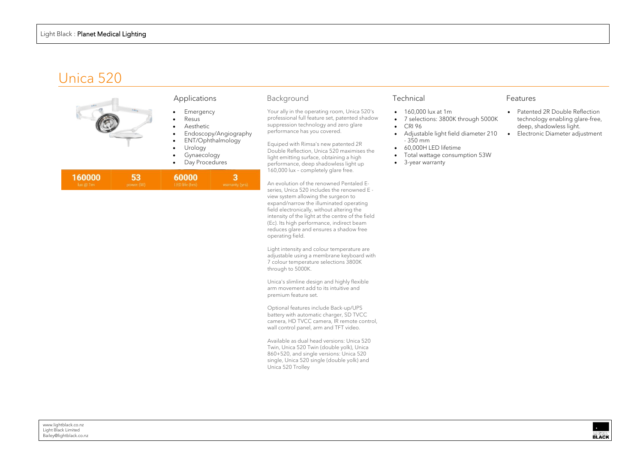# Unica 520



#### Applications

- **Emergency**
- Resus
- Aesthetic
- Endoscopy/Angiography
- ENT/Ophthalmology
- **Urology**
- Gynaecology
- Day Procedures

| 160000 | 53,       | 60000          |                |
|--------|-----------|----------------|----------------|
| ux@1m  | power (W) | LED life (hrs) | warranty (yrs) |

#### Background

Your ally in the operating room, Unica 520's professional full feature set, patented shadow suppression technology and zero glare performance has you covered.

Equiped with Rimsa's new patented 2R Double Reflection, Unica 520 maximises the light emitting surface, obtaining a high performance, deep shadowless light up 160,000 lux – completely glare free.

An evolution of the renowned Pentaled Eseries, Unica 520 includes the renowned E view system allowing the surgeon to expand/narrow the illuminated operating field electronically, without altering the intensity of the light at the centre of the field (Ec). Its high performance, indirect beam reduces glare and ensures a shadow free operating field.

|      | Patented 2R Double Reflection   |
|------|---------------------------------|
| 000K | technology enabling glare-free, |
|      | deep, shadowless light.         |
| 210  | Electronic Diameter adjustment  |



Light intensity and colour temperature are adjustable using a membrane keyboard with 7 colour temperature selections 3800K through to 5000K.

Unica's slimline design and highly flexible arm movement add to its intuitive and premium feature set.

Optional features include Back-up/UPS battery with automatic charger, SD TVCC camera, HD TVCC camera, IR remote control, wall control panel, arm and TFT video.

Available as dual head versions: Unica 520 Twin, Unica 520 Twin (double yolk), Unica 860+520, and single versions: Unica 520 single, Unica 520 single (double yolk) and Unica 520 Trolley

## Technical

- 160,000 lux at 1m
- 7 selections: 3800K through 50
- CRI 96
- Adjustable light field diameter - 350 mm
- 60,000H LED lifetime
- Total wattage consumption 53W
- 3-year warranty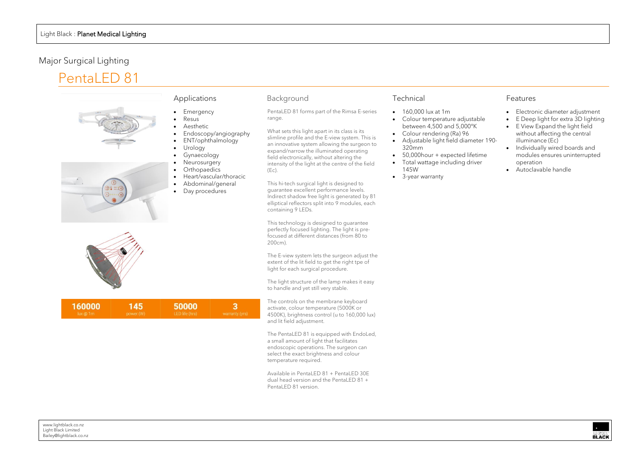- Emergency
- Resus
- Aesthetic
- Endoscopy/angiography
- ENT/ophthalmology
- Urology
- **Gynaecology**
- **Neurosurgery**
- **Orthopaedics**
- Heart/vascular/thoracic • Abdominal/general
- Day procedures

# Major Surgical Lighting

# PentaLED 81



#### Applications

### Background

PentaLED 81 forms part of the Rimsa E-series range.

What sets this light apart in its class is its slimline profile and the E-view system. This is an innovative system allowing the surgeon to expand/narrow the illuminated operating field electronically, without altering the intensity of the light at the centre of the field (Ec).

This hi-tech surgical light is designed to guarantee excellent performance levels. Indirect shadow free light is generated by 81 elliptical reflectors split into 9 modules, each containing 9 LEDs.

This technology is designed to guarantee perfectly focused lighting. The light is prefocused at different distances (from 80 to 200cm).

The E-view system lets the surgeon adjust the extent of the lit field to get the right tpe of light for each surgical procedure.

The light structure of the lamp makes it easy to handle and yet still very stable.

The controls on the membrane keyboard activate, colour temperature (5000K or 4500K), brightness control (u to 160,000 lux) and lit field adjustment.

The PentaLED 81 is equipped with EndoLed, a small amount of light that facilitates endoscopic operations. The surgeon can select the exact brightness and colour temperature required.

Available in PentaLED 81 + PentaLED 30E dual head version and the PentaLED 81 + PentaLED 81 version.

# Technical

- 160,000 lux at 1m
- Colour temperature adjustable between 4,500 and 5,000°K
- Colour rendering (Ra) 96
- Adjustable light field diameter 190- 320mm
- 50,000 hour + expected lifetime
- Total wattage including driver 145W
- 3-year warranty



| 16000 |  |  |
|-------|--|--|
|       |  |  |

- Electronic diameter adjustment
- E Deep light for extra 3D lighting
- E View Expand the light field without affecting the central illuminance (Ec)
- Individually wired boards and modules ensures uninterrupted operation
- Autoclavable handle

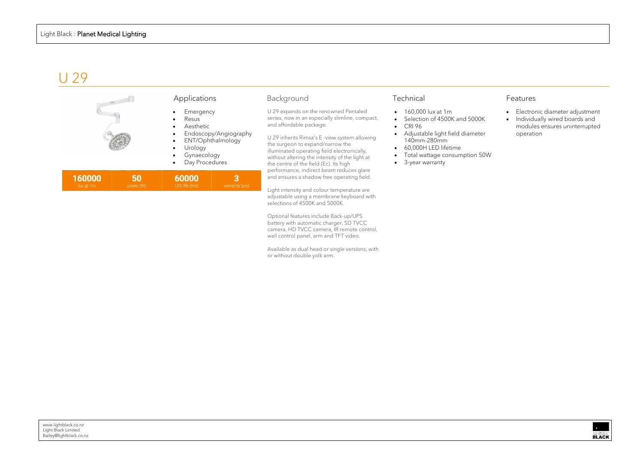# U 29

| $\label{eq:11} 11854$ | Applications                                                                                                              | Background                                                                                                                                                                                                                                                                                                                                          | Technical                                                                                                                                                                                        |
|-----------------------|---------------------------------------------------------------------------------------------------------------------------|-----------------------------------------------------------------------------------------------------------------------------------------------------------------------------------------------------------------------------------------------------------------------------------------------------------------------------------------------------|--------------------------------------------------------------------------------------------------------------------------------------------------------------------------------------------------|
|                       | Emergency<br>Resus<br>Aesthetic<br>Endoscopy/Angiography<br>ENT/Ophthalmology<br>Urology<br>Gynaecology<br>Day Procedures | U 29 expands on the renowned Pentaled<br>series, now in an especially slimline, compact,<br>and affordable package.<br>U 29 inherits Rimsa's E -view system allowing<br>the surgeon to expand/narrow the<br>illuminated operating field electronically,<br>without altering the intensity of the light at<br>the centre of the field (Ec). Its high | 160,000 lux at 1m<br>Selection of 4500K and 5000K<br><b>CRI 96</b><br>Adjustable light field diameter<br>140mm-280mm<br>60,000H LED lifetime<br>Total wattage consumption 50W<br>3-year warranty |
|                       |                                                                                                                           | performance, indirect beam reduces glare<br>and ensures a shadow free operating field.                                                                                                                                                                                                                                                              |                                                                                                                                                                                                  |

Light intensity and colour temperature are adjustable using a membrane keyboard with

selections of 4500K and 5000K.

Optional features include Back-up/UPS battery with automatic charger, SD TVCC camera, HD TVCC camera, IR remote control,

wall control panel, arm and TFT video.

Available as dual head or single versions, with

or without double yolk arm.

- Electronic diameter adjustment
- Individually wired boards and modules ensures uninterrupted operation

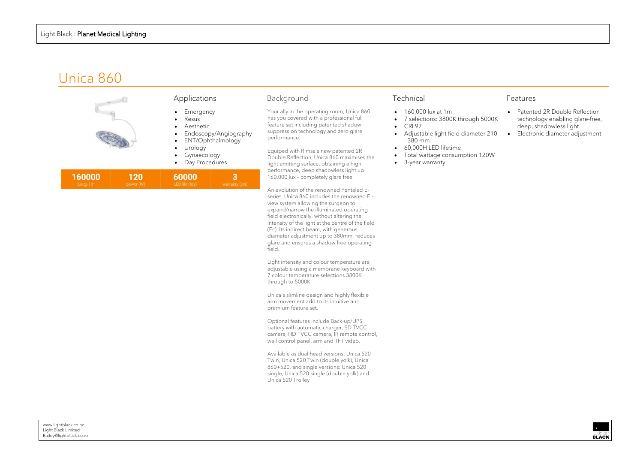# Unica 860

Your ally in the operating room, Unica 860



| 160000   | 120       | 60000          |                |
|----------|-----------|----------------|----------------|
| lux @ 1m | power (W) | LED life (hrs) | warranty (yrs) |

Double Reflection, Unica 860 maximises the performance, deep shadowless light up 160,000 lux – completely glare free.

An evolution of the renowned Pentaled Eseries, Unica 860 includes the renowned E view system allowing the surgeon to expand/narrow the illuminated operating field electronically, without altering the intensity of the light at the centre of the field (Ec). Its indirect beam, with generous diameter adjustment up to 380mm, reduces glare and ensures a shadow free operating field.

Light intensity and colour temperature are adjustable using a membrane keyboard with 7 colour temperature selections 3800K through to 5000K.

Unica's slimline design and highly flexible arm movement add to its intuitive and premium feature set.

Optional features include Back-up/UPS battery with automatic charger, SD TVCC camera, HD TVCC camera, IR remote control, wall control panel, arm and TFT video.

Available as dual head versions: Unica 520 Twin, Unica 520 Twin (double yolk), Unica 860+520, and single versions: Unica 520 single, Unica 520 single (double yolk) and Unica 520 Trolley

## Technical

- 160,000 lux at 1m
- 7 selections: 3800K through 50
- CRI 97
- Adjustable light field diameter 210 - 380 mm
- 60,000H LED lifetime
- Total wattage consumption 120W
- 3-year warranty

|      | $\bullet$ | Patented 2R Double Reflection   |
|------|-----------|---------------------------------|
| 000K |           | technology enabling glare-free, |
|      |           | deep, shadowless light.         |
| 210  | $\bullet$ | Electronic diameter adjustment  |